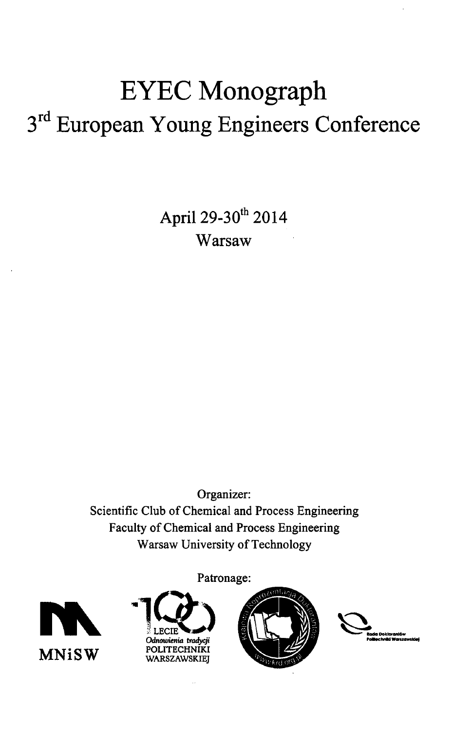## EYEC Monograph 3<sup>rd</sup> European Young Engineers Conference

April 29-30<sup>th</sup> 2014 Warsaw

Organizer: Scientific Club of Chemical and Process Engineering Faculty of Chemical and Process Engineering Warsaw University of Technology



Patronage:





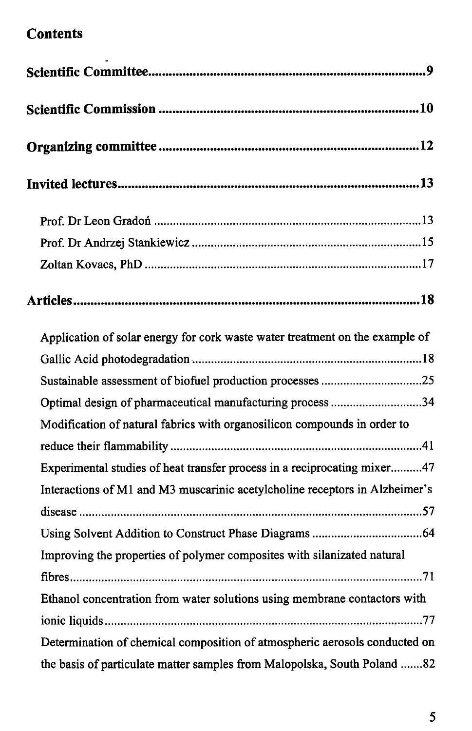## **Contents**

| Application of solar energy for cork waste water treatment on the example of |
|------------------------------------------------------------------------------|
|                                                                              |
| Sustainable assessment of biofuel production processes 25                    |
| Optimal design of pharmaceutical manufacturing process 34                    |
| Modification of natural fabrics with organosilicon compounds in order to     |
|                                                                              |
| Experimental studies of heat transfer process in a reciprocating mixer47     |
| Interactions of M1 and M3 muscarinic acetylcholine receptors in Alzheimer's  |
|                                                                              |
|                                                                              |
| Improving the properties of polymer composites with silanizated natural      |
|                                                                              |
| Ethanol concentration from water solutions using membrane contactors with    |
|                                                                              |
| Determination of chemical composition of atmospheric aerosols conducted on   |
| the basis of particulate matter samples from Malopolska, South Poland 82     |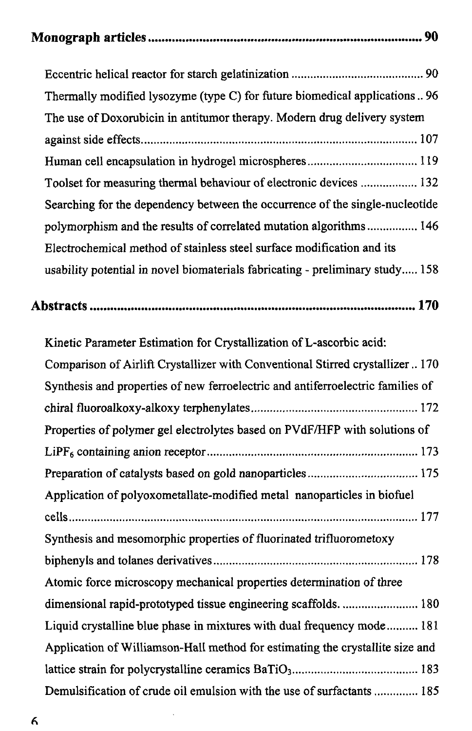|--|--|--|

| Thermally modified lysozyme (type C) for future biomedical applications 96      |  |
|---------------------------------------------------------------------------------|--|
| The use of Doxorubicin in antitumor therapy. Modern drug delivery system        |  |
|                                                                                 |  |
|                                                                                 |  |
| Toolset for measuring thermal behaviour of electronic devices  132              |  |
| Searching for the dependency between the occurrence of the single-nucleotide    |  |
| polymorphism and the results of correlated mutation algorithms 146              |  |
| Electrochemical method of stainless steel surface modification and its          |  |
| usability potential in novel biomaterials fabricating - preliminary study 158   |  |
|                                                                                 |  |
| Kinetic Parameter Estimation for Crystallization of L-ascorbic acid:            |  |
| Comparison of Airlift Crystallizer with Conventional Stirred crystallizer  170  |  |
| Synthesis and properties of new ferroelectric and antiferroelectric families of |  |
|                                                                                 |  |
| Properties of polymer gel electrolytes based on PVdF/HFP with solutions of      |  |
|                                                                                 |  |
|                                                                                 |  |
| Application of polyoxometallate-modified metal nanoparticles in biofuel         |  |
|                                                                                 |  |
| Synthesis and mesomorphic properties of fluorinated trifluorometoxy             |  |
|                                                                                 |  |
| Atomic force microscopy mechanical properties determination of three            |  |
|                                                                                 |  |
| Liquid crystalline blue phase in mixtures with dual frequency mode 181          |  |
| Application of Williamson-Hall method for estimating the crystallite size and   |  |
|                                                                                 |  |
| Demulsification of crude oil emulsion with the use of surfactants  185          |  |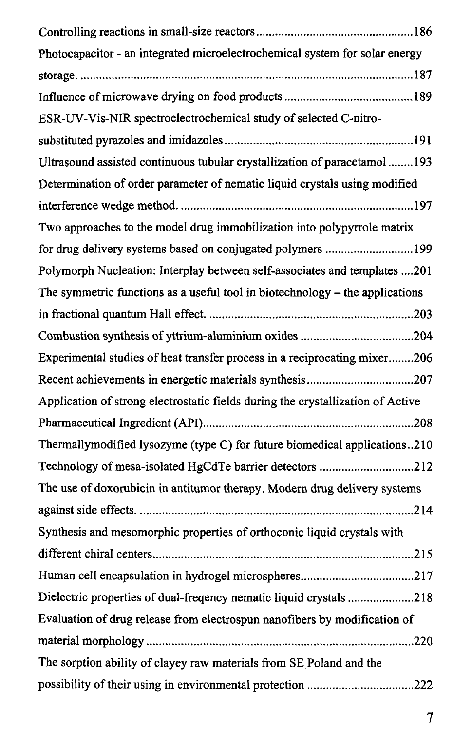| Photocapacitor - an integrated microelectrochemical system for solar energy     |
|---------------------------------------------------------------------------------|
|                                                                                 |
|                                                                                 |
| ESR-UV-Vis-NIR spectroelectrochemical study of selected C-nitro-                |
|                                                                                 |
| Ultrasound assisted continuous tubular crystallization of paracetamol 193       |
| Determination of order parameter of nematic liquid crystals using modified      |
|                                                                                 |
| Two approaches to the model drug immobilization into polypyrrole matrix         |
| for drug delivery systems based on conjugated polymers 199                      |
| Polymorph Nucleation: Interplay between self-associates and templates 201       |
| The symmetric functions as a useful tool in biotechnology – the applications    |
|                                                                                 |
|                                                                                 |
| Experimental studies of heat transfer process in a reciprocating mixer206       |
|                                                                                 |
| Application of strong electrostatic fields during the crystallization of Active |
|                                                                                 |
| Thermallymodified lysozyme (type C) for future biomedical applications210       |
| Technology of mesa-isolated HgCdTe barrier detectors 212                        |
| The use of doxorubicin in antitumor therapy. Modern drug delivery systems       |
|                                                                                 |
| Synthesis and mesomorphic properties of orthoconic liquid crystals with         |
|                                                                                 |
|                                                                                 |
| Dielectric properties of dual-frequency nematic liquid crystals 218             |
| Evaluation of drug release from electrospun nanofibers by modification of       |
|                                                                                 |
| The sorption ability of clayey raw materials from SE Poland and the             |
|                                                                                 |